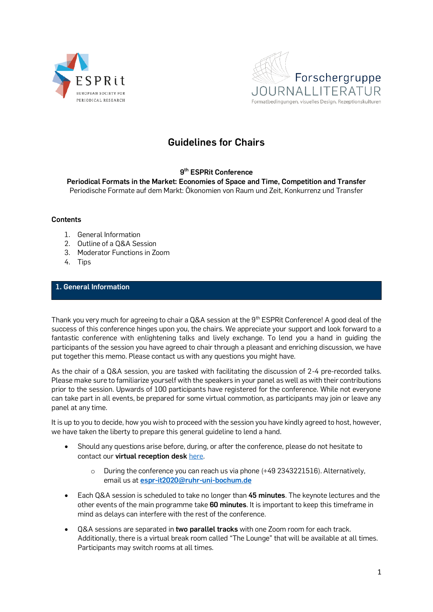



# **Guidelines for Chairs**

## **9 th ESPRit Conference**

**Periodical Formats in the Market: Economies of Space and Time, Competition and Transfer** Periodische Formate auf dem Markt: Ökonomien von Raum und Zeit, Konkurrenz und Transfer

#### **Contents**

- 1. General Information
- 2. Outline of a Q&A Session
- 3. Moderator Functions in Zoom
- 4. Tips

## **1. General Information**

Thank you very much for agreeing to chair a Q&A session at the 9<sup>th</sup> ESPRit Conference! A good deal of the success of this conference hinges upon you, the chairs. We appreciate your support and look forward to a fantastic conference with enlightening talks and lively exchange. To lend you a hand in guiding the participants of the session you have agreed to chair through a pleasant and enriching discussion, we have put together this memo. Please contact us with any questions you might have.

As the chair of a Q&A session, you are tasked with facilitating the discussion of 2-4 pre-recorded talks. Please make sure to familiarize yourself with the speakers in your panel as well as with their contributions prior to the session. Upwards of 100 participants have registered for the conference. While not everyone can take part in all events, be prepared for some virtual commotion, as participants may join or leave any panel at any time.

It is up to you to decide, how you wish to proceed with the session you have kindly agreed to host, however, we have taken the liberty to prepare this general guideline to lend a hand.

- Should any questions arise before, during, or after the conference, please do not hesitate to contact our **virtual reception desk** [here.](https://esprit2021.blogs.ruhr-uni-bochum.de/elementor-583/)
	- o During the conference you can reach us via phone (+49 2343221516). Alternatively, email us at **[espr-it2020@ruhr-uni-bochum.de](mailto:espr-it2020@ruhr-uni-bochum.de)**
- Each Q&A session is scheduled to take no longer than **45 minutes**. The keynote lectures and the other events of the main programme take **60 minutes**. It is important to keep this timeframe in mind as delays can interfere with the rest of the conference.
- Q&A sessions are separated in **two parallel tracks** with one Zoom room for each track. Additionally, there is a virtual break room called "The Lounge" that will be available at all times. Participants may switch rooms at all times.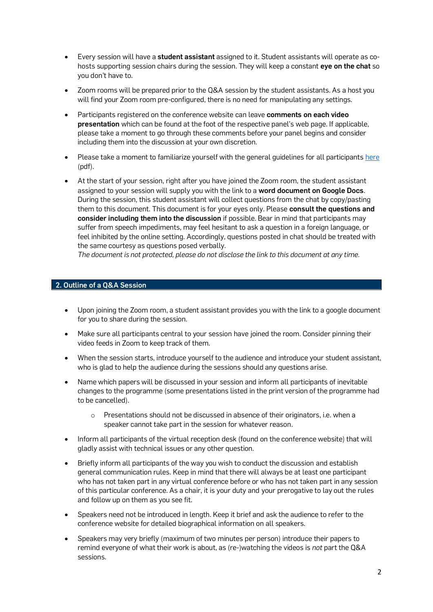- Every session will have a **student assistant** assigned to it. Student assistants will operate as cohosts supporting session chairs during the session. They will keep a constant **eye on the chat** so you don't have to.
- Zoom rooms will be prepared prior to the Q&A session by the student assistants. As a host you will find your Zoom room pre-configured, there is no need for manipulating any settings.
- Participants registered on the conference website can leave **comments on each video presentation** which can be found at the foot of the respective panel's web page. If applicable, please take a moment to go through these comments before your panel begins and consider including them into the discussion at your own discretion.
- Please take a moment to familiarize yourself with the general guidelines for all participants [here](https://esprit2021.blogs.ruhr-uni-bochum.de/wp-content/uploads/Zoom-Guide-Etiquette.pdf) (pdf).
- At the start of your session, right after you have joined the Zoom room, the student assistant assigned to your session will supply you with the link to a **word document on Google Docs**. During the session, this student assistant will collect questions from the chat by copy/pasting them to this document. This document is for your eyes only. Please **consult the questions and consider including them into the discussion** if possible. Bear in mind that participants may suffer from speech impediments, may feel hesitant to ask a question in a foreign language, or feel inhibited by the online setting. Accordingly, questions posted in chat should be treated with the same courtesy as questions posed verbally.

*The document is not protected, please do not disclose the link to this document at any time.*

### **2. Outline of a Q&A Session**

- Upon joining the Zoom room, a student assistant provides you with the link to a google document for you to share during the session.
- Make sure all participants central to your session have joined the room. Consider pinning their video feeds in Zoom to keep track of them.
- When the session starts, introduce yourself to the audience and introduce your student assistant, who is glad to help the audience during the sessions should any questions arise.
- Name which papers will be discussed in your session and inform all participants of inevitable changes to the programme (some presentations listed in the print version of the programme had to be cancelled).
	- o Presentations should not be discussed in absence of their originators, i.e. when a speaker cannot take part in the session for whatever reason.
- Inform all participants of the virtual reception desk (found on the conference website) that will gladly assist with technical issues or any other question.
- Briefly inform all participants of the way you wish to conduct the discussion and establish general communication rules. Keep in mind that there will always be at least one participant who has not taken part in any virtual conference before or who has not taken part in any session of this particular conference. As a chair, it is your duty and your prerogative to lay out the rules and follow up on them as you see fit.
- Speakers need not be introduced in length. Keep it brief and ask the audience to refer to the conference website for detailed biographical information on all speakers.
- Speakers may very briefly (maximum of two minutes per person) introduce their papers to remind everyone of what their work is about, as (re-)watching the videos is *not* part the Q&A sessions.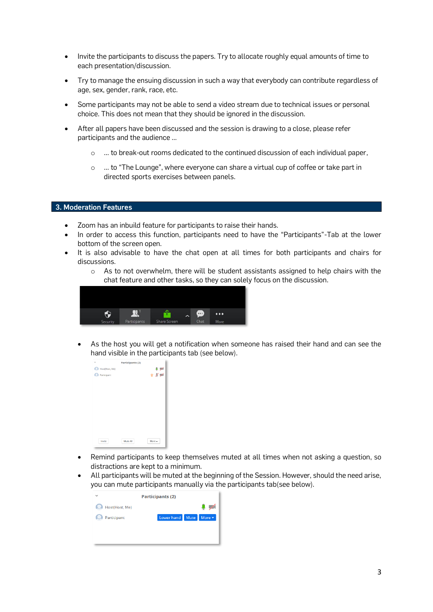- Invite the participants to discuss the papers. Try to allocate roughly equal amounts of time to each presentation/discussion.
- Try to manage the ensuing discussion in such a way that everybody can contribute regardless of age, sex, gender, rank, race, etc.
- Some participants may not be able to send a video stream due to technical issues or personal choice. This does not mean that they should be ignored in the discussion.
- After all papers have been discussed and the session is drawing to a close, please refer participants and the audience …
	- ... to break-out rooms dedicated to the continued discussion of each individual paper,
	- o … to "The Lounge", where everyone can share a virtual cup of coffee or take part in directed sports exercises between panels.

#### **3. Moderation Features**

- Zoom has an inbuild feature for participants to raise their hands.
- In order to access this function, participants need to have the "Participants"-Tab at the lower bottom of the screen open.
- It is also advisable to have the chat open at all times for both participants and chairs for discussions.
	- $\circ$  As to not overwhelm, there will be student assistants assigned to help chairs with the chat feature and other tasks, so they can solely focus on the discussion.



As the host you will get a notification when someone has raised their hand and can see the hand visible in the participants tab (see below).

| $\checkmark$   | Participants (2) |                                                                                |  |
|----------------|------------------|--------------------------------------------------------------------------------|--|
| Host(Host, Me) |                  | $\begin{array}{c}\n\bullet \neq \\ \bullet \not\equiv \land \neq\n\end{array}$ |  |
| Participant    |                  |                                                                                |  |
|                |                  |                                                                                |  |
|                |                  |                                                                                |  |
|                |                  |                                                                                |  |
|                |                  |                                                                                |  |
|                |                  |                                                                                |  |
|                |                  |                                                                                |  |
|                |                  |                                                                                |  |
|                |                  |                                                                                |  |
|                |                  |                                                                                |  |
| Invite         | Mute All         | More A                                                                         |  |
|                |                  |                                                                                |  |

- Remind participants to keep themselves muted at all times when not asking a question, so distractions are kept to a minimum.
- All participants will be muted at the beginning of the Session. However, should the need arise, you can mute participants manually via the participants tab(see below).

| $\checkmark$   | <b>Participants (2)</b>         |
|----------------|---------------------------------|
| Host(Host, Me) |                                 |
| Participant    | Lower hand Mute<br>More $\star$ |
|                |                                 |
|                |                                 |